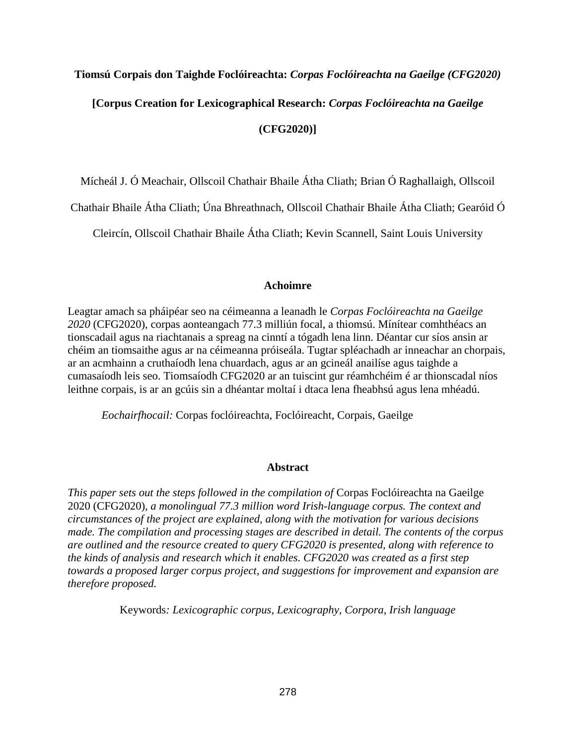# **Tiomsú Corpais don Taighde Foclóireachta:** *Corpas Foclóireachta na Gaeilge (CFG2020)*

**[Corpus Creation for Lexicographical Research:** *Corpas Foclóireachta na Gaeilge*

**(CFG2020)]**

Mícheál J. Ó Meachair, Ollscoil Chathair Bhaile Átha Cliath; Brian Ó Raghallaigh, Ollscoil

Chathair Bhaile Átha Cliath; Úna Bhreathnach, Ollscoil Chathair Bhaile Átha Cliath; Gearóid Ó

Cleircín, Ollscoil Chathair Bhaile Átha Cliath; Kevin Scannell, Saint Louis University

#### **Achoimre**

Leagtar amach sa pháipéar seo na céimeanna a leanadh le *Corpas Foclóireachta na Gaeilge 2020* (CFG2020), corpas aonteangach 77.3 milliún focal, a thiomsú. Mínítear comhthéacs an tionscadail agus na riachtanais a spreag na cinntí a tógadh lena linn. Déantar cur síos ansin ar chéim an tiomsaithe agus ar na céimeanna próiseála. Tugtar spléachadh ar inneachar an chorpais, ar an acmhainn a cruthaíodh lena chuardach, agus ar an gcineál anailíse agus taighde a cumasaíodh leis seo. Tiomsaíodh CFG2020 ar an tuiscint gur réamhchéim é ar thionscadal níos leithne corpais, is ar an gcúis sin a dhéantar moltaí i dtaca lena fheabhsú agus lena mhéadú.

*Eochairfhocail:* Corpas foclóireachta, Foclóireacht, Corpais, Gaeilge

#### **Abstract**

*This paper sets out the steps followed in the compilation of Corpas Foclóireachta na Gaeilge* 2020 (CFG2020)*, a monolingual 77.3 million word Irish-language corpus. The context and circumstances of the project are explained, along with the motivation for various decisions made. The compilation and processing stages are described in detail. The contents of the corpus are outlined and the resource created to query CFG2020 is presented, along with reference to the kinds of analysis and research which it enables. CFG2020 was created as a first step towards a proposed larger corpus project, and suggestions for improvement and expansion are therefore proposed.*

Keywords*: Lexicographic corpus, Lexicography, Corpora, Irish language*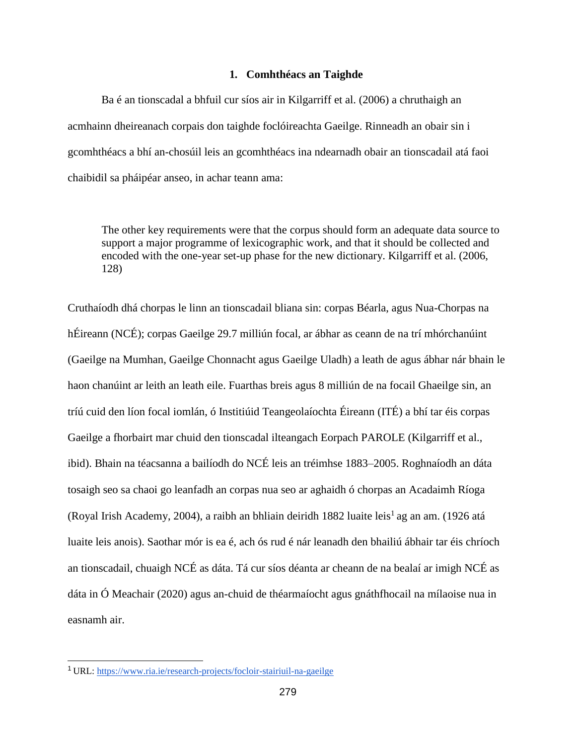#### **1. Comhthéacs an Taighde**

Ba é an tionscadal a bhfuil cur síos air in Kilgarriff et al. (2006) a chruthaigh an acmhainn dheireanach corpais don taighde foclóireachta Gaeilge. Rinneadh an obair sin i gcomhthéacs a bhí an-chosúil leis an gcomhthéacs ina ndearnadh obair an tionscadail atá faoi chaibidil sa pháipéar anseo, in achar teann ama:

The other key requirements were that the corpus should form an adequate data source to support a major programme of lexicographic work, and that it should be collected and encoded with the one-year set-up phase for the new dictionary. Kilgarriff et al. (2006, 128)

Cruthaíodh dhá chorpas le linn an tionscadail bliana sin: corpas Béarla, agus Nua-Chorpas na hÉireann (NCÉ); corpas Gaeilge 29.7 milliún focal, ar ábhar as ceann de na trí mhórchanúint (Gaeilge na Mumhan, Gaeilge Chonnacht agus Gaeilge Uladh) a leath de agus ábhar nár bhain le haon chanúint ar leith an leath eile. Fuarthas breis agus 8 milliún de na focail Ghaeilge sin, an tríú cuid den líon focal iomlán, ó Institiúid Teangeolaíochta Éireann (ITÉ) a bhí tar éis corpas Gaeilge a fhorbairt mar chuid den tionscadal ilteangach Eorpach PAROLE (Kilgarriff et al., ibid). Bhain na téacsanna a bailíodh do NCÉ leis an tréimhse 1883–2005. Roghnaíodh an dáta tosaigh seo sa chaoi go leanfadh an corpas nua seo ar aghaidh ó chorpas an Acadaimh Ríoga (Royal Irish Academy, 2004), a raibh an bhliain deiridh 1882 luaite leis<sup>1</sup> ag an am. (1926 atá luaite leis anois). Saothar mór is ea é, ach ós rud é nár leanadh den bhailiú ábhair tar éis chríoch an tionscadail, chuaigh NCÉ as dáta. Tá cur síos déanta ar cheann de na bealaí ar imigh NCÉ as dáta in Ó Meachair (2020) agus an-chuid de théarmaíocht agus gnáthfhocail na mílaoise nua in easnamh air.

<sup>1</sup>URL:<https://www.ria.ie/research-projects/focloir-stairiuil-na-gaeilge>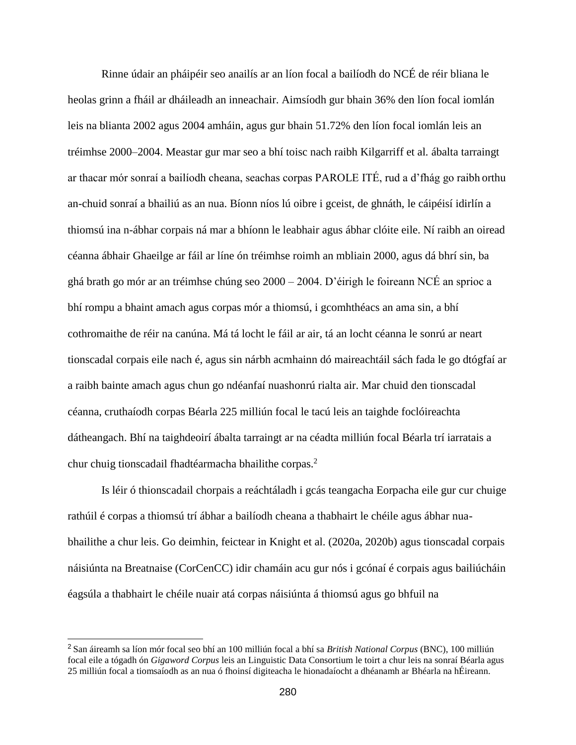Rinne údair an pháipéir seo anailís ar an líon focal a bailíodh do NCÉ de réir bliana le heolas grinn a fháil ar dháileadh an inneachair. Aimsíodh gur bhain 36% den líon focal iomlán leis na blianta 2002 agus 2004 amháin, agus gur bhain 51.72% den líon focal iomlán leis an tréimhse 2000–2004. Meastar gur mar seo a bhí toisc nach raibh Kilgarriff et al*.* ábalta tarraingt ar thacar mór sonraí a bailíodh cheana, seachas corpas PAROLE ITÉ, rud a d'fhág go raibh orthu an-chuid sonraí a bhailiú as an nua. Bíonn níos lú oibre i gceist, de ghnáth, le cáipéisí idirlín a thiomsú ina n-ábhar corpais ná mar a bhíonn le leabhair agus ábhar clóite eile. Ní raibh an oiread céanna ábhair Ghaeilge ar fáil ar líne ón tréimhse roimh an mbliain 2000, agus dá bhrí sin, ba ghá brath go mór ar an tréimhse chúng seo 2000 – 2004. D'éirigh le foireann NCÉ an sprioc a bhí rompu a bhaint amach agus corpas mór a thiomsú, i gcomhthéacs an ama sin, a bhí cothromaithe de réir na canúna. Má tá locht le fáil ar air, tá an locht céanna le sonrú ar neart tionscadal corpais eile nach é, agus sin nárbh acmhainn dó maireachtáil sách fada le go dtógfaí ar a raibh bainte amach agus chun go ndéanfaí nuashonrú rialta air. Mar chuid den tionscadal céanna, cruthaíodh corpas Béarla 225 milliún focal le tacú leis an taighde foclóireachta dátheangach. Bhí na taighdeoirí ábalta tarraingt ar na céadta milliún focal Béarla trí iarratais a chur chuig tionscadail fhadtéarmacha bhailithe corpas.<sup>2</sup>

Is léir ó thionscadail chorpais a reáchtáladh i gcás teangacha Eorpacha eile gur cur chuige rathúil é corpas a thiomsú trí ábhar a bailíodh cheana a thabhairt le chéile agus ábhar nuabhailithe a chur leis. Go deimhin, feictear in Knight et al. (2020a, 2020b) agus tionscadal corpais náisiúnta na Breatnaise (CorCenCC) idir chamáin acu gur nós i gcónaí é corpais agus bailiúcháin éagsúla a thabhairt le chéile nuair atá corpas náisiúnta á thiomsú agus go bhfuil na

<sup>2</sup>San áireamh sa líon mór focal seo bhí an 100 milliún focal a bhí sa *British National Corpus* (BNC), 100 milliún focal eile a tógadh ón *Gigaword Corpus* leis an Linguistic Data Consortium le toirt a chur leis na sonraí Béarla agus 25 milliún focal a tiomsaíodh as an nua ó fhoinsí digiteacha le hionadaíocht a dhéanamh ar Bhéarla na hÉireann.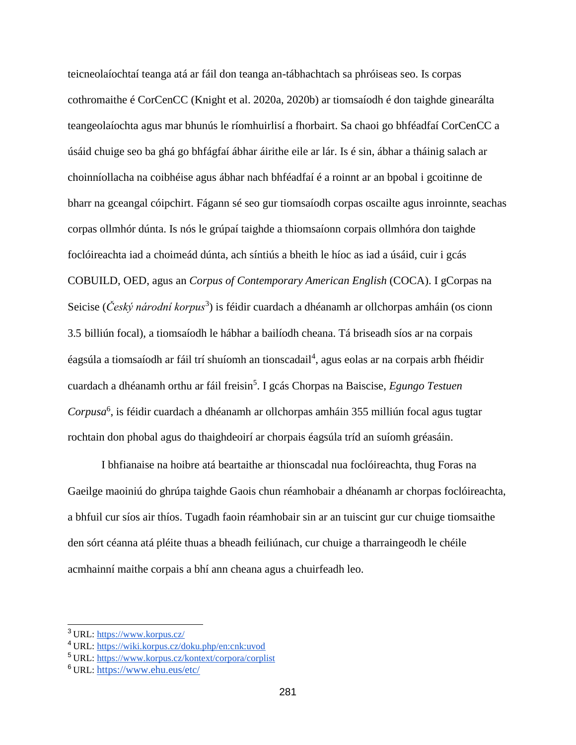teicneolaíochtaí teanga atá ar fáil don teanga an-tábhachtach sa phróiseas seo. Is corpas cothromaithe é CorCenCC (Knight et al. 2020a, 2020b) ar tiomsaíodh é don taighde ginearálta teangeolaíochta agus mar bhunús le ríomhuirlisí a fhorbairt. Sa chaoi go bhféadfaí CorCenCC a úsáid chuige seo ba ghá go bhfágfaí ábhar áirithe eile ar lár. Is é sin, ábhar a tháinig salach ar choinníollacha na coibhéise agus ábhar nach bhféadfaí é a roinnt ar an bpobal i gcoitinne de bharr na gceangal cóipchirt. Fágann sé seo gur tiomsaíodh corpas oscailte agus inroinnte, seachas corpas ollmhór dúnta. Is nós le grúpaí taighde a thiomsaíonn corpais ollmhóra don taighde foclóireachta iad a choimeád dúnta, ach síntiús a bheith le híoc as iad a úsáid, cuir i gcás COBUILD, OED, agus an *Corpus of Contemporary American English* (COCA). I gCorpas na Seicise (*Český národní korpus*<sup>3</sup>) is féidir cuardach a dhéanamh ar ollchorpas amháin (os cionn 3.5 billiún focal), a tiomsaíodh le hábhar a bailíodh cheana. Tá briseadh síos ar na corpais éagsúla a tiomsaíodh ar fáil trí shuíomh an tionscadail<sup>4</sup>, agus eolas ar na corpais arbh fhéidir cuardach a dhéanamh orthu ar fáil freisin<sup>5</sup> . I gcás Chorpas na Baiscise, *Egungo Testuen*  Corpusa<sup>6</sup>, is féidir cuardach a dhéanamh ar ollchorpas amháin 355 milliún focal agus tugtar rochtain don phobal agus do thaighdeoirí ar chorpais éagsúla tríd an suíomh gréasáin.

I bhfianaise na hoibre atá beartaithe ar thionscadal nua foclóireachta, thug Foras na Gaeilge maoiniú do ghrúpa taighde Gaois chun réamhobair a dhéanamh ar chorpas foclóireachta, a bhfuil cur síos air thíos. Tugadh faoin réamhobair sin ar an tuiscint gur cur chuige tiomsaithe den sórt céanna atá pléite thuas a bheadh feiliúnach, cur chuige a tharraingeodh le chéile acmhainní maithe corpais a bhí ann cheana agus a chuirfeadh leo.

<sup>3</sup>URL:<https://www.korpus.cz/>

<sup>4</sup>URL: https://wiki.korpus.cz/doku.php/en:cnk:uvod

<sup>5</sup>URL:<https://www.korpus.cz/kontext/corpora/corplist>

<sup>6</sup>URL: <https://www.ehu.eus/etc/>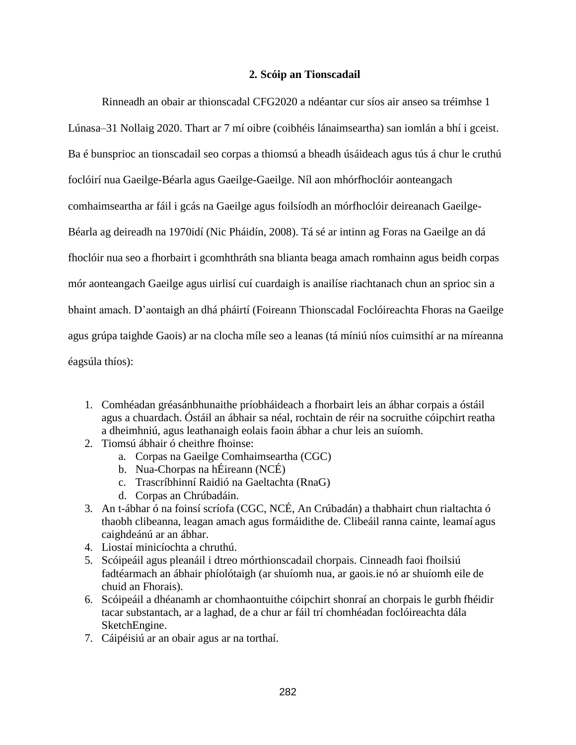# **2. Scóip an Tionscadail**

Rinneadh an obair ar thionscadal CFG2020 a ndéantar cur síos air anseo sa tréimhse 1 Lúnasa–31 Nollaig 2020. Thart ar 7 mí oibre (coibhéis lánaimseartha) san iomlán a bhí i gceist. Ba é bunsprioc an tionscadail seo corpas a thiomsú a bheadh úsáideach agus tús á chur le cruthú foclóirí nua Gaeilge-Béarla agus Gaeilge-Gaeilge. Níl aon mhórfhoclóir aonteangach comhaimseartha ar fáil i gcás na Gaeilge agus foilsíodh an mórfhoclóir deireanach Gaeilge-Béarla ag deireadh na 1970idí (Nic Pháidín, 2008). Tá sé ar intinn ag Foras na Gaeilge an dá fhoclóir nua seo a fhorbairt i gcomhthráth sna blianta beaga amach romhainn agus beidh corpas mór aonteangach Gaeilge agus uirlisí cuí cuardaigh is anailíse riachtanach chun an sprioc sin a bhaint amach. D'aontaigh an dhá pháirtí (Foireann Thionscadal Foclóireachta Fhoras na Gaeilge agus grúpa taighde Gaois) ar na clocha míle seo a leanas (tá míniú níos cuimsithí ar na míreanna éagsúla thíos):

- 1. Comhéadan gréasánbhunaithe príobháideach a fhorbairt leis an ábhar corpais a óstáil agus a chuardach. Óstáil an ábhair sa néal, rochtain de réir na socruithe cóipchirt reatha a dheimhniú, agus leathanaigh eolais faoin ábhar a chur leis an suíomh.
- 2. Tiomsú ábhair ó cheithre fhoinse:
	- a. Corpas na Gaeilge Comhaimseartha (CGC)
	- b. Nua-Chorpas na hÉireann (NCÉ)
	- c. Trascríbhinní Raidió na Gaeltachta (RnaG)
	- d. Corpas an Chrúbadáin.
- 3. An t-ábhar ó na foinsí scríofa (CGC, NCÉ, An Crúbadán) a thabhairt chun rialtachta ó thaobh clibeanna, leagan amach agus formáidithe de. Clibeáil ranna cainte, leamaí agus caighdeánú ar an ábhar.
- 4. Liostaí minicíochta a chruthú.
- 5. Scóipeáil agus pleanáil i dtreo mórthionscadail chorpais. Cinneadh faoi fhoilsiú fadtéarmach an ábhair phíolótaigh (ar shuíomh nua, ar gaois.ie nó ar shuíomh eile de chuid an Fhorais).
- 6. Scóipeáil a dhéanamh ar chomhaontuithe cóipchirt shonraí an chorpais le gurbh fhéidir tacar substantach, ar a laghad, de a chur ar fáil trí chomhéadan foclóireachta dála SketchEngine.
- 7. Cáipéisiú ar an obair agus ar na torthaí.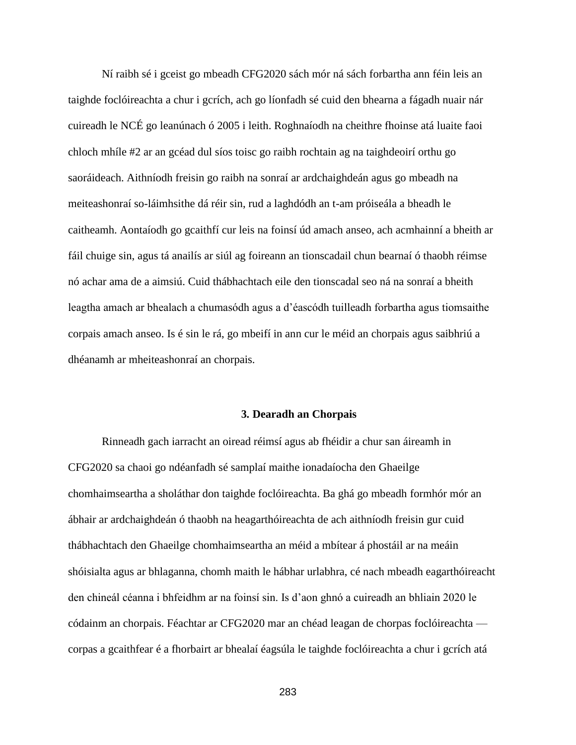Ní raibh sé i gceist go mbeadh CFG2020 sách mór ná sách forbartha ann féin leis an taighde foclóireachta a chur i gcrích, ach go líonfadh sé cuid den bhearna a fágadh nuair nár cuireadh le NCÉ go leanúnach ó 2005 i leith. Roghnaíodh na cheithre fhoinse atá luaite faoi chloch mhíle #2 ar an gcéad dul síos toisc go raibh rochtain ag na taighdeoirí orthu go saoráideach. Aithníodh freisin go raibh na sonraí ar ardchaighdeán agus go mbeadh na meiteashonraí so-láimhsithe dá réir sin, rud a laghdódh an t-am próiseála a bheadh le caitheamh. Aontaíodh go gcaithfí cur leis na foinsí úd amach anseo, ach acmhainní a bheith ar fáil chuige sin, agus tá anailís ar siúl ag foireann an tionscadail chun bearnaí ó thaobh réimse nó achar ama de a aimsiú. Cuid thábhachtach eile den tionscadal seo ná na sonraí a bheith leagtha amach ar bhealach a chumasódh agus a d'éascódh tuilleadh forbartha agus tiomsaithe corpais amach anseo. Is é sin le rá, go mbeifí in ann cur le méid an chorpais agus saibhriú a dhéanamh ar mheiteashonraí an chorpais.

#### **3. Dearadh an Chorpais**

Rinneadh gach iarracht an oiread réimsí agus ab fhéidir a chur san áireamh in CFG2020 sa chaoi go ndéanfadh sé samplaí maithe ionadaíocha den Ghaeilge chomhaimseartha a sholáthar don taighde foclóireachta. Ba ghá go mbeadh formhór mór an ábhair ar ardchaighdeán ó thaobh na heagarthóireachta de ach aithníodh freisin gur cuid thábhachtach den Ghaeilge chomhaimseartha an méid a mbítear á phostáil ar na meáin shóisialta agus ar bhlaganna, chomh maith le hábhar urlabhra, cé nach mbeadh eagarthóireacht den chineál céanna i bhfeidhm ar na foinsí sin. Is d'aon ghnó a cuireadh an bhliain 2020 le códainm an chorpais. Féachtar ar CFG2020 mar an chéad leagan de chorpas foclóireachta corpas a gcaithfear é a fhorbairt ar bhealaí éagsúla le taighde foclóireachta a chur i gcrích atá

283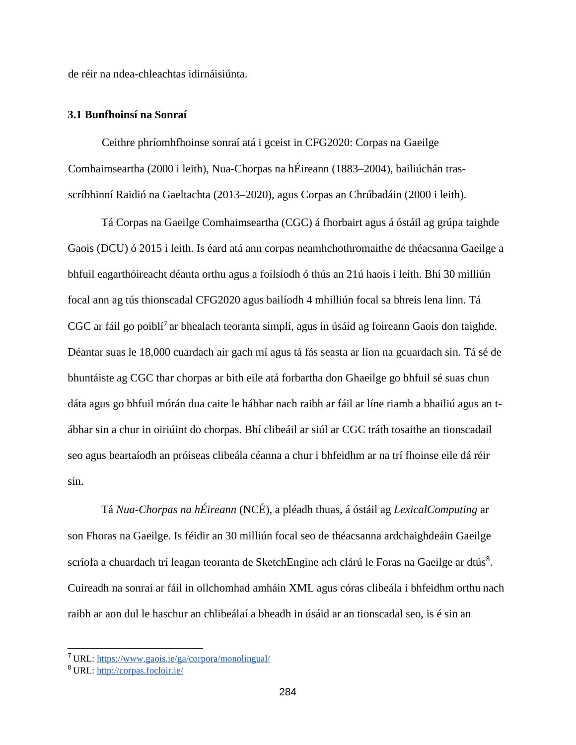de réir na ndea-chleachtas idirnáisiúnta.

#### **3.1 Bunfhoinsí na Sonraí**

Ceithre phríomhfhoinse sonraí atá i gceist in CFG2020: Corpas na Gaeilge Comhaimseartha (2000 i leith), Nua-Chorpas na hÉireann (1883–2004), bailiúchán trasscríbhinní Raidió na Gaeltachta (2013–2020), agus Corpas an Chrúbadáin (2000 i leith).

Tá Corpas na Gaeilge Comhaimseartha (CGC) á fhorbairt agus á óstáil ag grúpa taighde Gaois (DCU) ó 2015 i leith. Is éard atá ann corpas neamhchothromaithe de théacsanna Gaeilge a bhfuil eagarthóireacht déanta orthu agus a foilsíodh ó thús an 21ú haois i leith. Bhí 30 milliún focal ann ag tús thionscadal CFG2020 agus bailíodh 4 mhilliún focal sa bhreis lena linn. Tá  $CGC$  ar fáil go poiblí<sup>7</sup> ar bhealach teoranta simplí, agus in úsáid ag foireann Gaois don taighde. Déantar suas le 18,000 cuardach air gach mí agus tá fás seasta ar líon na gcuardach sin. Tá sé de bhuntáiste ag CGC thar chorpas ar bith eile atá forbartha don Ghaeilge go bhfuil sé suas chun dáta agus go bhfuil mórán dua caite le hábhar nach raibh ar fáil ar líne riamh a bhailiú agus an tábhar sin a chur in oiriúint do chorpas. Bhí clibeáil ar siúl ar CGC tráth tosaithe an tionscadail seo agus beartaíodh an próiseas clibeála céanna a chur i bhfeidhm ar na trí fhoinse eile dá réir sin.

Tá *Nua-Chorpas na hÉireann* (NCÉ), a pléadh thuas, á óstáil ag *LexicalComputing* ar son Fhoras na Gaeilge. Is féidir an 30 milliún focal seo de théacsanna ardchaighdeáin Gaeilge scríofa a chuardach trí leagan teoranta de SketchEngine ach clárú le Foras na Gaeilge ar dtús<sup>8</sup>. Cuireadh na sonraí ar fáil in ollchomhad amháin XML agus córas clibeála i bhfeidhm orthu nach raibh ar aon dul le haschur an chlibeálaí a bheadh in úsáid ar an tionscadal seo, is é sin an

<sup>7</sup>URL:<https://www.gaois.ie/ga/corpora/monolingual/>

<sup>8</sup>URL:<http://corpas.focloir.ie/>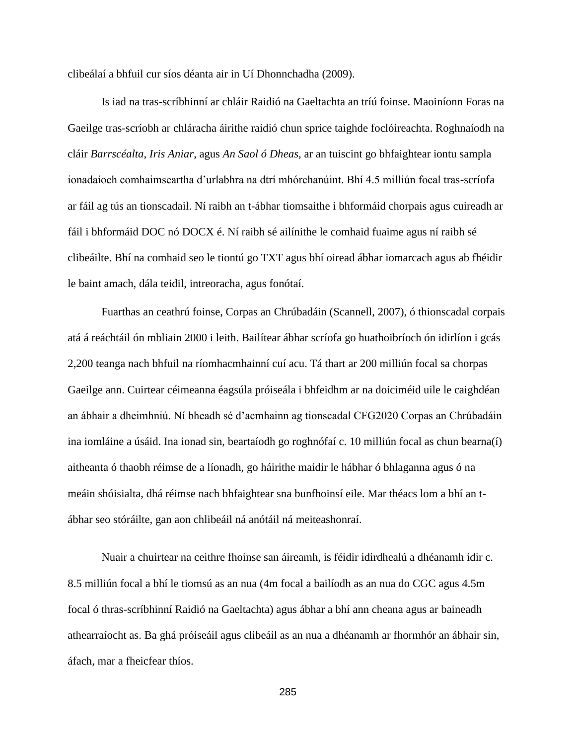clibeálaí a bhfuil cur síos déanta air in Uí Dhonnchadha (2009).

Is iad na tras-scríbhinní ar chláir Raidió na Gaeltachta an tríú foinse. Maoiníonn Foras na Gaeilge tras-scríobh ar chláracha áirithe raidió chun sprice taighde foclóireachta. Roghnaíodh na cláir *Barrscéalta*, *Iris Aniar*, agus *An Saol ó Dheas*, ar an tuiscint go bhfaightear iontu sampla ionadaíoch comhaimseartha d'urlabhra na dtrí mhórchanúint. Bhí 4.5 milliún focal tras-scríofa ar fáil ag tús an tionscadail. Ní raibh an t-ábhar tiomsaithe i bhformáid chorpais agus cuireadh ar fáil i bhformáid DOC nó DOCX é. Ní raibh sé ailínithe le comhaid fuaime agus ní raibh sé clibeáilte. Bhí na comhaid seo le tiontú go TXT agus bhí oiread ábhar iomarcach agus ab fhéidir le baint amach, dála teidil, intreoracha, agus fonótaí.

Fuarthas an ceathrú foinse, Corpas an Chrúbadáin (Scannell, 2007), ó thionscadal corpais atá á reáchtáil ón mbliain 2000 i leith. Bailítear ábhar scríofa go huathoibríoch ón idirlíon i gcás 2,200 teanga nach bhfuil na ríomhacmhainní cuí acu. Tá thart ar 200 milliún focal sa chorpas Gaeilge ann. Cuirtear céimeanna éagsúla próiseála i bhfeidhm ar na doiciméid uile le caighdéan an ábhair a dheimhniú. Ní bheadh sé d'acmhainn ag tionscadal CFG2020 Corpas an Chrúbadáin ina iomláine a úsáid. Ina ionad sin, beartaíodh go roghnófaí c. 10 milliún focal as chun bearna(í) aitheanta ó thaobh réimse de a líonadh, go háirithe maidir le hábhar ó bhlaganna agus ó na meáin shóisialta, dhá réimse nach bhfaightear sna bunfhoinsí eile. Mar théacs lom a bhí an tábhar seo stóráilte, gan aon chlibeáil ná anótáil ná meiteashonraí.

Nuair a chuirtear na ceithre fhoinse san áireamh, is féidir idirdhealú a dhéanamh idir c. 8.5 milliún focal a bhí le tiomsú as an nua (4m focal a bailíodh as an nua do CGC agus 4.5m focal ó thras-scríbhinní Raidió na Gaeltachta) agus ábhar a bhí ann cheana agus ar baineadh athearraíocht as. Ba ghá próiseáil agus clibeáil as an nua a dhéanamh ar fhormhór an ábhair sin, áfach, mar a fheicfear thíos.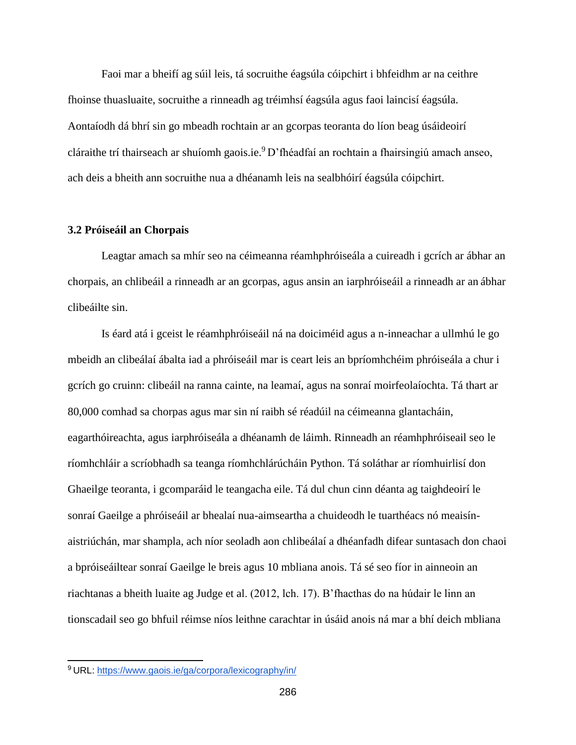Faoi mar a bheifí ag súil leis, tá socruithe éagsúla cóipchirt i bhfeidhm ar na ceithre fhoinse thuasluaite, socruithe a rinneadh ag tréimhsí éagsúla agus faoi laincisí éagsúla. Aontaíodh dá bhrí sin go mbeadh rochtain ar an gcorpas teoranta do líon beag úsáideoirí cláraithe trí thairseach ar shuíomh gaois.ie.<sup>9</sup>D'fhéadfaí an rochtain a fhairsingiú amach anseo, ach deis a bheith ann socruithe nua a dhéanamh leis na sealbhóirí éagsúla cóipchirt.

#### **3.2 Próiseáil an Chorpais**

Leagtar amach sa mhír seo na céimeanna réamhphróiseála a cuireadh i gcrích ar ábhar an chorpais, an chlibeáil a rinneadh ar an gcorpas, agus ansin an iarphróiseáil a rinneadh ar an ábhar clibeáilte sin.

Is éard atá i gceist le réamhphróiseáil ná na doiciméid agus a n-inneachar a ullmhú le go mbeidh an clibeálaí ábalta iad a phróiseáil mar is ceart leis an bpríomhchéim phróiseála a chur i gcrích go cruinn: clibeáil na ranna cainte, na leamaí, agus na sonraí moirfeolaíochta. Tá thart ar 80,000 comhad sa chorpas agus mar sin ní raibh sé réadúil na céimeanna glantacháin, eagarthóireachta, agus iarphróiseála a dhéanamh de láimh. Rinneadh an réamhphróiseail seo le ríomhchláir a scríobhadh sa teanga ríomhchlárúcháin Python. Tá soláthar ar ríomhuirlisí don Ghaeilge teoranta, i gcomparáid le teangacha eile. Tá dul chun cinn déanta ag taighdeoirí le sonraí Gaeilge a phróiseáil ar bhealaí nua-aimseartha a chuideodh le tuarthéacs nó meaisínaistriúchán, mar shampla, ach níor seoladh aon chlibeálaí a dhéanfadh difear suntasach don chaoi a bpróiseáiltear sonraí Gaeilge le breis agus 10 mbliana anois. Tá sé seo fíor in ainneoin an riachtanas a bheith luaite ag Judge et al. (2012, lch. 17). B'fhacthas do na húdair le linn an tionscadail seo go bhfuil réimse níos leithne carachtar in úsáid anois ná mar a bhí deich mbliana

<sup>9</sup>URL:<https://www.gaois.ie/ga/corpora/lexicography/in/>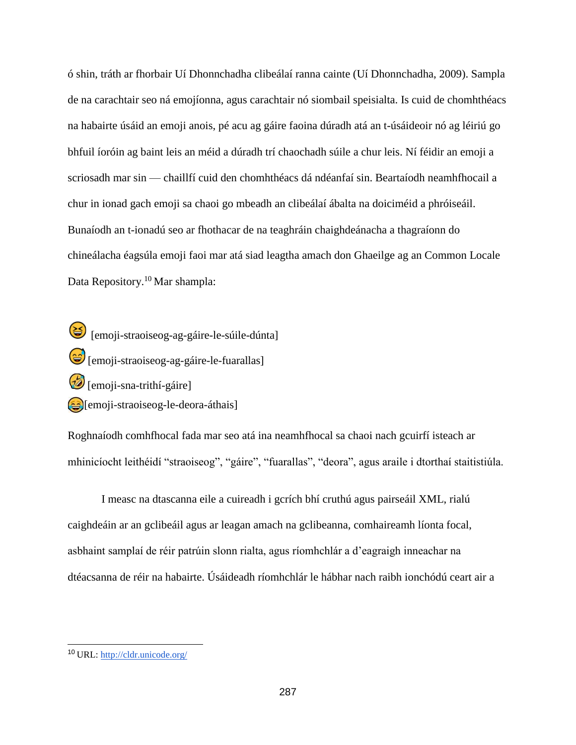ó shin, tráth ar fhorbair Uí Dhonnchadha clibeálaí ranna cainte (Uí Dhonnchadha, 2009). Sampla de na carachtair seo ná emojíonna, agus carachtair nó siombail speisialta. Is cuid de chomhthéacs na habairte úsáid an emoji anois, pé acu ag gáire faoina dúradh atá an t-úsáideoir nó ag léiriú go bhfuil íoróin ag baint leis an méid a dúradh trí chaochadh súile a chur leis. Ní féidir an emoji a scriosadh mar sin — chaillfí cuid den chomhthéacs dá ndéanfaí sin. Beartaíodh neamhfhocail a chur in ionad gach emoji sa chaoi go mbeadh an clibeálaí ábalta na doiciméid a phróiseáil. Bunaíodh an t-ionadú seo ar fhothacar de na teaghráin chaighdeánacha a thagraíonn do chineálacha éagsúla emoji faoi mar atá siad leagtha amach don Ghaeilge ag an Common Locale Data Repository.<sup>10</sup> Mar shampla:

 [emoji-straoiseog-ag-gáire-le-súile-dúnta]  $\bigodot$  [emoji-straoiseog-ag-gáire-le-fuarallas] [emoji-sna-trithí-gáire]  $\epsilon$ <sup>[emoji-straoiseog-le-deora-áthais]</sub></sup>

Roghnaíodh comhfhocal fada mar seo atá ina neamhfhocal sa chaoi nach gcuirfí isteach ar mhinicíocht leithéidí "straoiseog", "gáire", "fuarallas", "deora", agus araile i dtorthaí staitistiúla.

I measc na dtascanna eile a cuireadh i gcrích bhí cruthú agus pairseáil XML, rialú caighdeáin ar an gclibeáil agus ar leagan amach na gclibeanna, comhaireamh líonta focal, asbhaint samplaí de réir patrúin slonn rialta, agus ríomhchlár a d'eagraigh inneachar na dtéacsanna de réir na habairte. Úsáideadh ríomhchlár le hábhar nach raibh ionchódú ceart air a

<sup>10</sup>URL:<http://cldr.unicode.org/>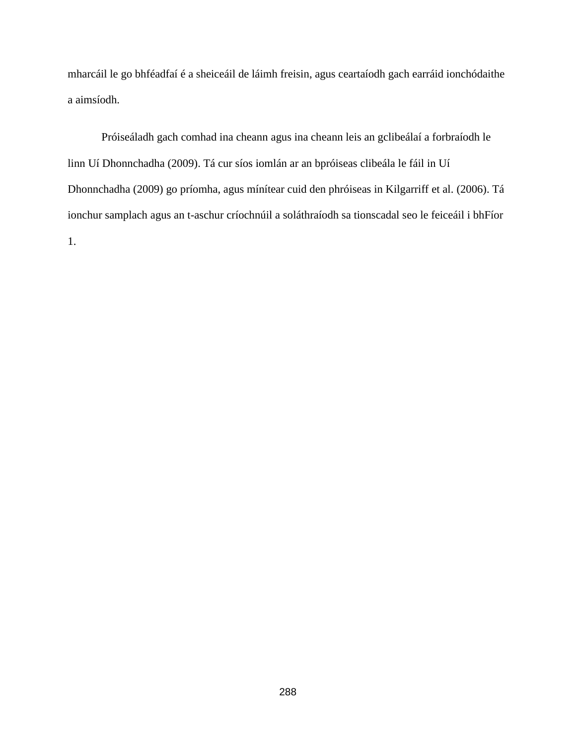mharcáil le go bhféadfaí é a sheiceáil de láimh freisin, agus ceartaíodh gach earráid ionchódaithe a aimsíodh.

Próiseáladh gach comhad ina cheann agus ina cheann leis an gclibeálaí a forbraíodh le linn Uí Dhonnchadha (2009). Tá cur síos iomlán ar an bpróiseas clibeála le fáil in Uí Dhonnchadha (2009) go príomha, agus mínítear cuid den phróiseas in Kilgarriff et al. (2006). Tá ionchur samplach agus an t-aschur críochnúil a soláthraíodh sa tionscadal seo le feiceáil i bhFíor 1.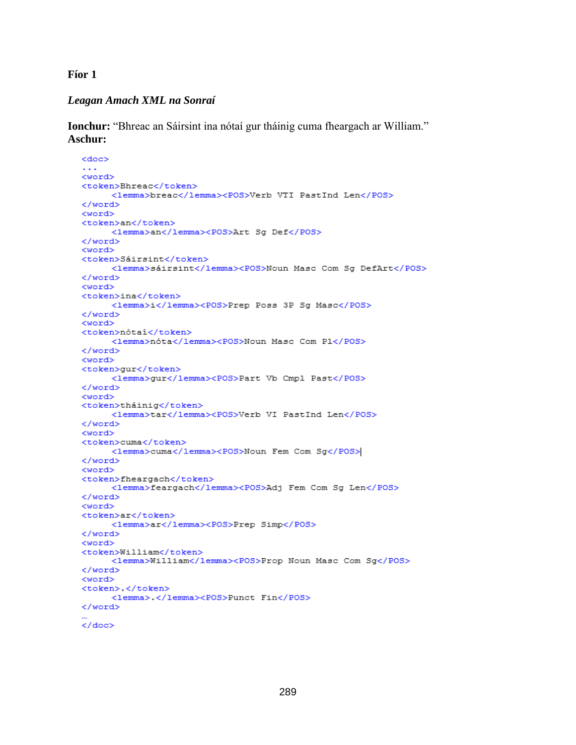**Fíor 1**

# *Leagan Amach XML na Sonraí*

**Ionchur:** "Bhreac an Sáirsint ina nótaí gur tháinig cuma fheargach ar William." **Aschur:**

```
<doc>
. . .
<word>
<token>Bhreac</token>
     <lemma>breac</lemma><POS>Verb VTI PastInd Len</POS>
</word>
<word>
<token>an</token>
     <lemma>an</lemma><POS>Art Sg Def</POS>
</word>
<word>
<token>Sáirsint</token>
     <lemma>sáirsint</lemma><POS>Noun Masc Com Sg DefArt</POS>
</word>
<word>
<token>ina</token>
     <lemma>i</lemma><POS>Prep Poss 3P Sg Masc</POS>
</word>
<word>
<token>nótai</token>
     <lemma>nóta</lemma><POS>Noun Masc Com P1</POS>
</word>
<word>
<token>gur</token>
     <lemma>qur</lemma><POS>Part Vb Cmpl Past</POS>
</word>
<word>
<token>tháinig</token>
     <lemma>tar</lemma><POS>Verb VI PastInd Len</POS>
</word>
<word>
<token>cuma</token>
     <lemma>cuma</lemma><POS>Noun Fem Com Sg</POS>
</word>
<word>
<token>fheargach</token>
     <lemma>feargach</lemma><POS>Adj Fem Com Sg Len</POS>
</word>
<word>
<token>ar</token>
     <1emma>ar</1emma><POS>Prep Simp</POS>
</word>
<word>
<token>William</token>
     <lemma>William</lemma><POS>Prop Noun Masc Com Sg</POS>
</word>
<word>
<token> </token>
     <lemma>.</lemma><POS>Punct Fin</POS>
</word>
</doc>
```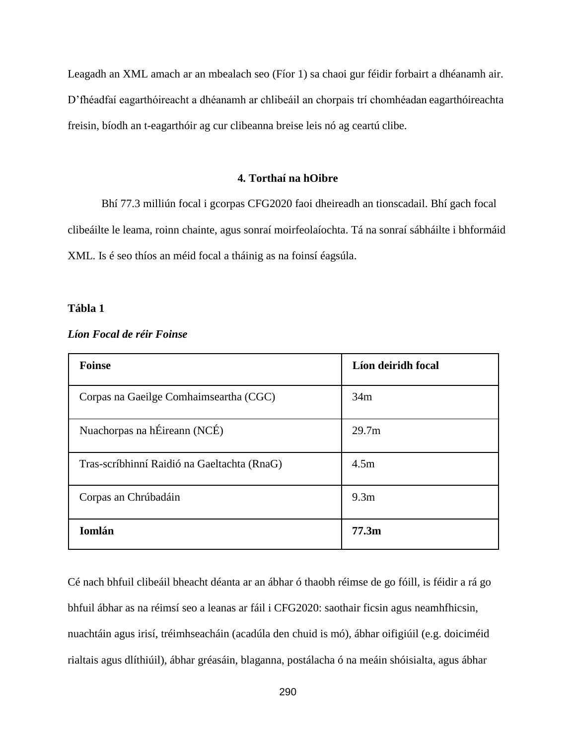Leagadh an XML amach ar an mbealach seo (Fíor 1) sa chaoi gur féidir forbairt a dhéanamh air. D'fhéadfaí eagarthóireacht a dhéanamh ar chlibeáil an chorpais trí chomhéadan eagarthóireachta freisin, bíodh an t-eagarthóir ag cur clibeanna breise leis nó ag ceartú clibe.

#### **4. Torthaí na hOibre**

Bhí 77.3 milliún focal i gcorpas CFG2020 faoi dheireadh an tionscadail. Bhí gach focal clibeáilte le leama, roinn chainte, agus sonraí moirfeolaíochta. Tá na sonraí sábháilte i bhformáid XML. Is é seo thíos an méid focal a tháinig as na foinsí éagsúla.

#### **Tábla 1**

| <b>Foinse</b>                               | Líon deiridh focal |
|---------------------------------------------|--------------------|
| Corpas na Gaeilge Comhaimseartha (CGC)      | 34m                |
| Nuachorpas na hÉireann (NCÉ)                | 29.7 <sub>m</sub>  |
| Tras-scríbhinní Raidió na Gaeltachta (RnaG) | 4.5m               |
| Corpas an Chrúbadáin                        | 9.3 <sub>m</sub>   |
| <b>Iomlán</b>                               | 77.3m              |

#### *Líon Focal de réir Foinse*

Cé nach bhfuil clibeáil bheacht déanta ar an ábhar ó thaobh réimse de go fóill, is féidir a rá go bhfuil ábhar as na réimsí seo a leanas ar fáil i CFG2020: saothair ficsin agus neamhfhicsin, nuachtáin agus irisí, tréimhseacháin (acadúla den chuid is mó), ábhar oifigiúil (e.g. doiciméid rialtais agus dlíthiúil), ábhar gréasáin, blaganna, postálacha ó na meáin shóisialta, agus ábhar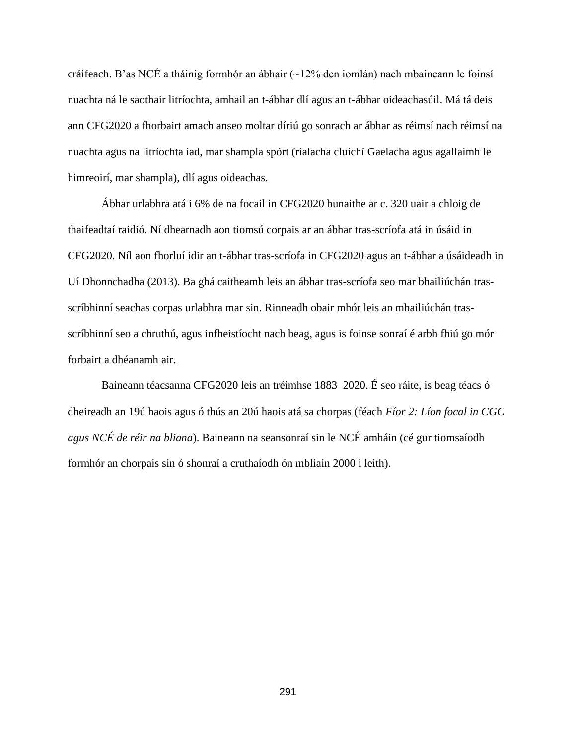cráifeach. B'as NCÉ a tháinig formhór an ábhair (~12% den iomlán) nach mbaineann le foinsí nuachta ná le saothair litríochta, amhail an t-ábhar dlí agus an t-ábhar oideachasúil. Má tá deis ann CFG2020 a fhorbairt amach anseo moltar díriú go sonrach ar ábhar as réimsí nach réimsí na nuachta agus na litríochta iad, mar shampla spórt (rialacha cluichí Gaelacha agus agallaimh le himreoirí, mar shampla), dlí agus oideachas.

Ábhar urlabhra atá i 6% de na focail in CFG2020 bunaithe ar c. 320 uair a chloig de thaifeadtaí raidió. Ní dhearnadh aon tiomsú corpais ar an ábhar tras-scríofa atá in úsáid in CFG2020. Níl aon fhorluí idir an t-ábhar tras-scríofa in CFG2020 agus an t-ábhar a úsáideadh in Uí Dhonnchadha (2013). Ba ghá caitheamh leis an ábhar tras-scríofa seo mar bhailiúchán trasscríbhinní seachas corpas urlabhra mar sin. Rinneadh obair mhór leis an mbailiúchán trasscríbhinní seo a chruthú, agus infheistíocht nach beag, agus is foinse sonraí é arbh fhiú go mór forbairt a dhéanamh air.

Baineann téacsanna CFG2020 leis an tréimhse 1883–2020. É seo ráite, is beag téacs ó dheireadh an 19ú haois agus ó thús an 20ú haois atá sa chorpas (féach *Fíor 2: Líon focal in CGC agus NCÉ de réir na bliana*). Baineann na seansonraí sin le NCÉ amháin (cé gur tiomsaíodh formhór an chorpais sin ó shonraí a cruthaíodh ón mbliain 2000 i leith).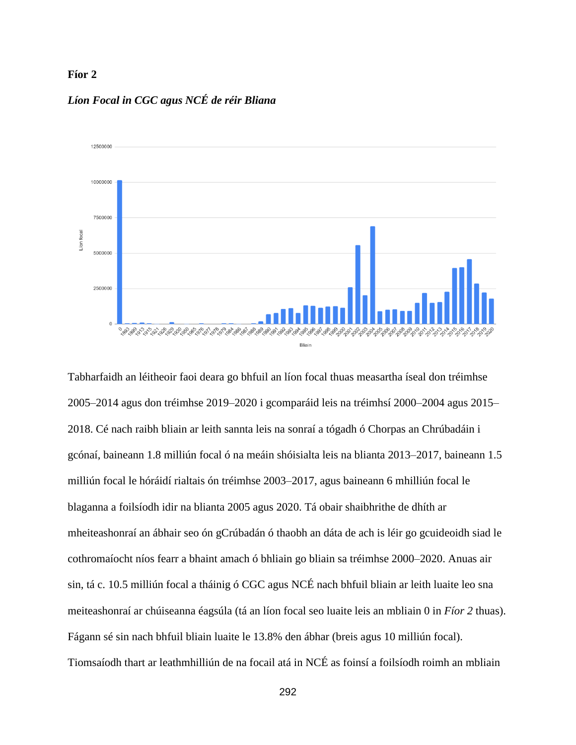#### **Fíor 2**



# *Líon Focal in CGC agus NCÉ de réir Bliana*

Tabharfaidh an léitheoir faoi deara go bhfuil an líon focal thuas measartha íseal don tréimhse 2005–2014 agus don tréimhse 2019–2020 i gcomparáid leis na tréimhsí 2000–2004 agus 2015– 2018. Cé nach raibh bliain ar leith sannta leis na sonraí a tógadh ó Chorpas an Chrúbadáin i gcónaí, baineann 1.8 milliún focal ó na meáin shóisialta leis na blianta 2013–2017, baineann 1.5 milliún focal le hóráidí rialtais ón tréimhse 2003–2017, agus baineann 6 mhilliún focal le blaganna a foilsíodh idir na blianta 2005 agus 2020. Tá obair shaibhrithe de dhíth ar mheiteashonraí an ábhair seo ón gCrúbadán ó thaobh an dáta de ach is léir go gcuideoidh siad le cothromaíocht níos fearr a bhaint amach ó bhliain go bliain sa tréimhse 2000–2020. Anuas air sin, tá c. 10.5 milliún focal a tháinig ó CGC agus NCÉ nach bhfuil bliain ar leith luaite leo sna meiteashonraí ar chúiseanna éagsúla (tá an líon focal seo luaite leis an mbliain 0 in *Fíor 2* thuas). Fágann sé sin nach bhfuil bliain luaite le 13.8% den ábhar (breis agus 10 milliún focal). Tiomsaíodh thart ar leathmhilliún de na focail atá in NCÉ as foinsí a foilsíodh roimh an mbliain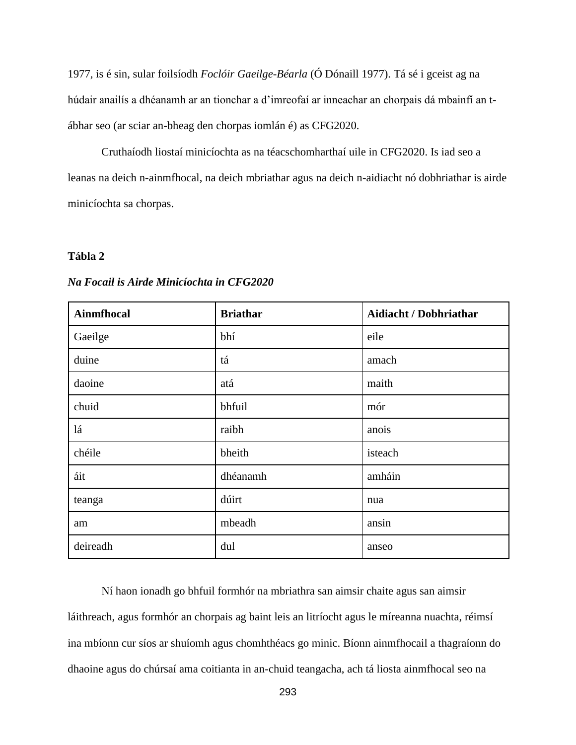1977, is é sin, sular foilsíodh *Foclóir Gaeilge-Béarla* (Ó Dónaill 1977). Tá sé i gceist ag na húdair anailís a dhéanamh ar an tionchar a d'imreofaí ar inneachar an chorpais dá mbainfí an tábhar seo (ar sciar an-bheag den chorpas iomlán é) as CFG2020.

Cruthaíodh liostaí minicíochta as na téacschomharthaí uile in CFG2020. Is iad seo a leanas na deich n-ainmfhocal, na deich mbriathar agus na deich n-aidiacht nó dobhriathar is airde minicíochta sa chorpas.

## **Tábla 2**

| Ainmfhocal | <b>Briathar</b> | <b>Aidiacht / Dobhriathar</b> |
|------------|-----------------|-------------------------------|
| Gaeilge    | bhí             | eile                          |
| duine      | tá              | amach                         |
| daoine     | atá             | maith                         |
| chuid      | bhfuil          | mór                           |
| lá         | raibh           | anois                         |
| chéile     | bheith          | isteach                       |
| áit        | dhéanamh        | amháin                        |
| teanga     | dúirt           | nua                           |
| am         | mbeadh          | ansin                         |
| deireadh   | dul             | anseo                         |

*Na Focail is Airde Minicíochta in CFG2020*

Ní haon ionadh go bhfuil formhór na mbriathra san aimsir chaite agus san aimsir láithreach, agus formhór an chorpais ag baint leis an litríocht agus le míreanna nuachta, réimsí ina mbíonn cur síos ar shuíomh agus chomhthéacs go minic. Bíonn ainmfhocail a thagraíonn do dhaoine agus do chúrsaí ama coitianta in an-chuid teangacha, ach tá liosta ainmfhocal seo na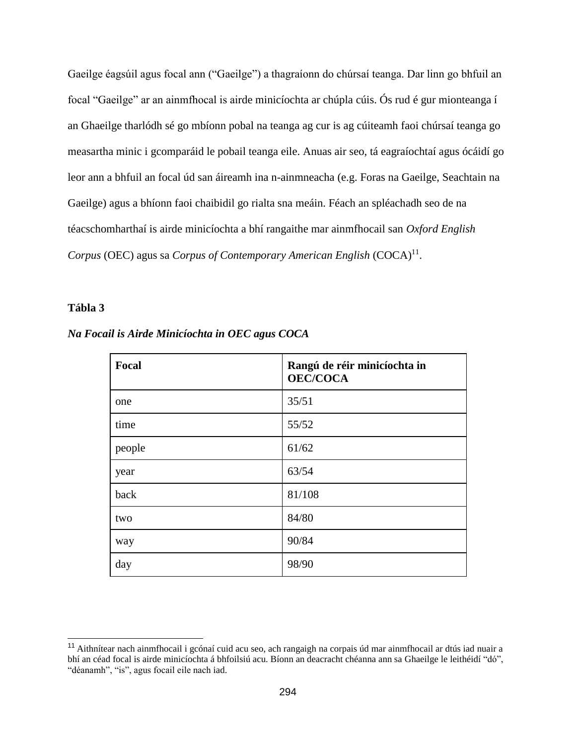Gaeilge éagsúil agus focal ann ("Gaeilge") a thagraíonn do chúrsaí teanga. Dar linn go bhfuil an focal "Gaeilge" ar an ainmfhocal is airde minicíochta ar chúpla cúis. Ós rud é gur mionteanga í an Ghaeilge tharlódh sé go mbíonn pobal na teanga ag cur is ag cúiteamh faoi chúrsaí teanga go measartha minic i gcomparáid le pobail teanga eile. Anuas air seo, tá eagraíochtaí agus ócáidí go leor ann a bhfuil an focal úd san áireamh ina n-ainmneacha (e.g. Foras na Gaeilge, Seachtain na Gaeilge) agus a bhíonn faoi chaibidil go rialta sna meáin. Féach an spléachadh seo de na téacschomharthaí is airde minicíochta a bhí rangaithe mar ainmfhocail san *Oxford English*  Corpus (OEC) agus sa *Corpus of Contemporary American English* (COCA)<sup>11</sup>.

# **Tábla 3**

| Focal  | Rangú de réir minicíochta in<br><b>OEC/COCA</b> |
|--------|-------------------------------------------------|
| one    | 35/51                                           |
| time   | 55/52                                           |
| people | 61/62                                           |
| year   | 63/54                                           |
| back   | 81/108                                          |
| two    | 84/80                                           |
| way    | 90/84                                           |
| day    | 98/90                                           |

*Na Focail is Airde Minicíochta in OEC agus COCA*

<sup>&</sup>lt;sup>11</sup> Aithnítear nach ainmfhocail i gcónaí cuid acu seo, ach rangaigh na corpais úd mar ainmfhocail ar dtús iad nuair a bhí an céad focal is airde minicíochta á bhfoilsiú acu. Bíonn an deacracht chéanna ann sa Ghaeilge le leithéidí "dó", "déanamh", "is", agus focail eile nach iad.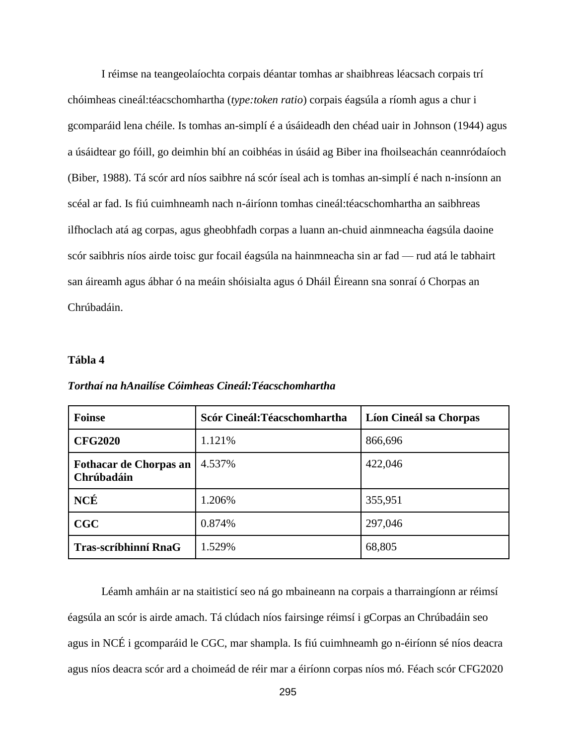I réimse na teangeolaíochta corpais déantar tomhas ar shaibhreas léacsach corpais trí chóimheas cineál:téacschomhartha (*type:token ratio*) corpais éagsúla a ríomh agus a chur i gcomparáid lena chéile. Is tomhas an-simplí é a úsáideadh den chéad uair in Johnson (1944) agus a úsáidtear go fóill, go deimhin bhí an coibhéas in úsáid ag Biber ina fhoilseachán ceannródaíoch (Biber, 1988). Tá scór ard níos saibhre ná scór íseal ach is tomhas an-simplí é nach n-insíonn an scéal ar fad. Is fiú cuimhneamh nach n-áiríonn tomhas cineál:téacschomhartha an saibhreas ilfhoclach atá ag corpas, agus gheobhfadh corpas a luann an-chuid ainmneacha éagsúla daoine scór saibhris níos airde toisc gur focail éagsúla na hainmneacha sin ar fad — rud atá le tabhairt san áireamh agus ábhar ó na meáin shóisialta agus ó Dháil Éireann sna sonraí ó Chorpas an Chrúbadáin.

#### **Tábla 4**

| <b>Foinse</b>                               | Scór Cineál: Téacschomhartha | Líon Cineál sa Chorpas |  |  |  |  |
|---------------------------------------------|------------------------------|------------------------|--|--|--|--|
| <b>CFG2020</b>                              | 1.121%                       | 866,696                |  |  |  |  |
| <b>Fothacar de Chorpas an</b><br>Chrúbadáin | 4.537%                       | 422,046                |  |  |  |  |
| NCÉ                                         | 1.206%                       | 355,951                |  |  |  |  |
| CGC                                         | 0.874%                       | 297,046                |  |  |  |  |
| <b>Tras-scríbhinní RnaG</b>                 | 1.529%                       | 68,805                 |  |  |  |  |

*Torthaí na hAnailíse Cóimheas Cineál:Téacschomhartha*

Léamh amháin ar na staitisticí seo ná go mbaineann na corpais a tharraingíonn ar réimsí éagsúla an scór is airde amach. Tá clúdach níos fairsinge réimsí i gCorpas an Chrúbadáin seo agus in NCÉ i gcomparáid le CGC, mar shampla. Is fiú cuimhneamh go n-éiríonn sé níos deacra agus níos deacra scór ard a choimeád de réir mar a éiríonn corpas níos mó. Féach scór CFG2020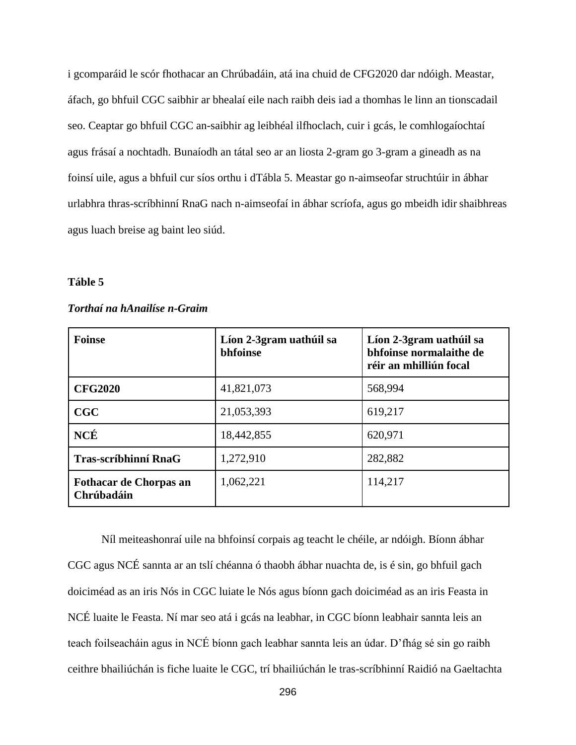i gcomparáid le scór fhothacar an Chrúbadáin, atá ina chuid de CFG2020 dar ndóigh. Meastar, áfach, go bhfuil CGC saibhir ar bhealaí eile nach raibh deis iad a thomhas le linn an tionscadail seo. Ceaptar go bhfuil CGC an-saibhir ag leibhéal ilfhoclach, cuir i gcás, le comhlogaíochtaí agus frásaí a nochtadh. Bunaíodh an tátal seo ar an liosta 2-gram go 3-gram a gineadh as na foinsí uile, agus a bhfuil cur síos orthu i dTábla 5. Meastar go n-aimseofar struchtúir in ábhar urlabhra thras-scríbhinní RnaG nach n-aimseofaí in ábhar scríofa, agus go mbeidh idir shaibhreas agus luach breise ag baint leo siúd.

## **Táble 5**

| <b>Foinse</b>                               | Líon 2-3gram uathúil sa<br>bhfoinse | Líon 2-3gram uathúil sa<br>bhfoinse normalaithe de<br>réir an mhilliún focal |  |  |
|---------------------------------------------|-------------------------------------|------------------------------------------------------------------------------|--|--|
| <b>CFG2020</b>                              | 41,821,073                          | 568,994                                                                      |  |  |
| CGC                                         | 21,053,393                          | 619,217                                                                      |  |  |
| <b>NCÉ</b>                                  | 18,442,855                          | 620,971                                                                      |  |  |
| <b>Tras-scríbhinní RnaG</b>                 | 1,272,910                           | 282,882                                                                      |  |  |
| <b>Fothacar de Chorpas an</b><br>Chrúbadáin | 1,062,221                           | 114,217                                                                      |  |  |

# *Torthaí na hAnailíse n-Graim*

Níl meiteashonraí uile na bhfoinsí corpais ag teacht le chéile, ar ndóigh. Bíonn ábhar CGC agus NCÉ sannta ar an tslí chéanna ó thaobh ábhar nuachta de, is é sin, go bhfuil gach doiciméad as an iris Nós in CGC luiate le Nós agus bíonn gach doiciméad as an iris Feasta in NCÉ luaite le Feasta. Ní mar seo atá i gcás na leabhar, in CGC bíonn leabhair sannta leis an teach foilseacháin agus in NCÉ bíonn gach leabhar sannta leis an údar. D'fhág sé sin go raibh ceithre bhailiúchán is fiche luaite le CGC, trí bhailiúchán le tras-scríbhinní Raidió na Gaeltachta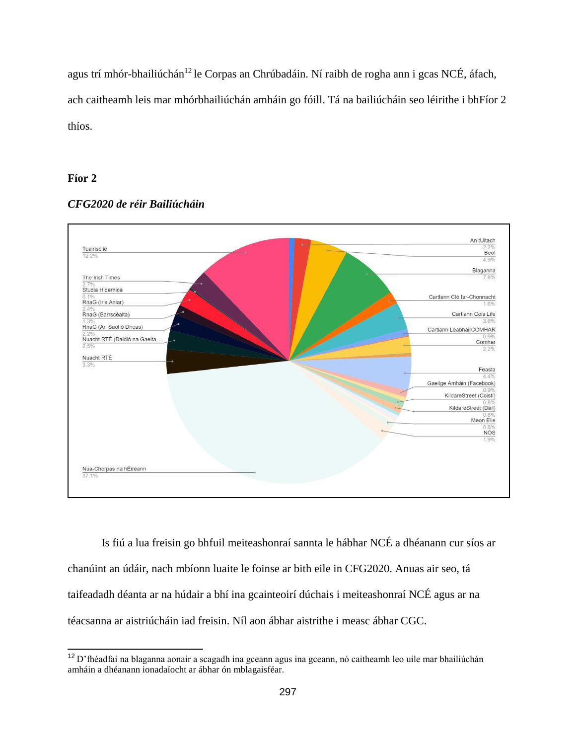agus trí mhór-bhailiúchán<sup>12</sup> le Corpas an Chrúbadáin. Ní raibh de rogha ann i gcas NCÉ, áfach, ach caitheamh leis mar mhórbhailiúchán amháin go fóill. Tá na bailiúcháin seo léirithe i bhFíor 2 thíos.

# **Fíor 2**



# *CFG2020 de réir Bailiúcháin*

Is fiú a lua freisin go bhfuil meiteashonraí sannta le hábhar NCÉ a dhéanann cur síos ar chanúint an údáir, nach mbíonn luaite le foinse ar bith eile in CFG2020. Anuas air seo, tá taifeadadh déanta ar na húdair a bhí ina gcainteoirí dúchais i meiteashonraí NCÉ agus ar na téacsanna ar aistriúcháin iad freisin. Níl aon ábhar aistrithe i measc ábhar CGC.

<sup>12</sup>D'fhéadfaí na blaganna aonair a scagadh ina gceann agus ina gceann, nó caitheamh leo uile mar bhailiúchán amháin a dhéanann ionadaíocht ar ábhar ón mblagaisféar.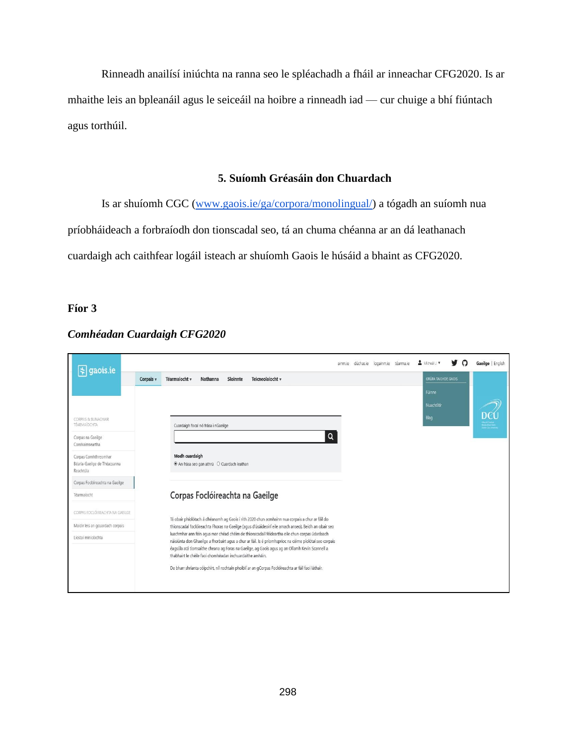Rinneadh anailísí iniúchta na ranna seo le spléachadh a fháil ar inneachar CFG2020. Is ar mhaithe leis an bpleanáil agus le seiceáil na hoibre a rinneadh iad — cur chuige a bhí fiúntach agus torthúil.

# **5. Suíomh Gréasáin don Chuardach**

Is ar shuíomh CGC [\(www.gaois.ie/ga/corpora/monolingual/\)](http://www.gaois.ie/ga/corpora/monolingual/) a tógadh an suíomh nua príobháideach a forbraíodh don tionscadal seo, tá an chuma chéanna ar an dá leathanach cuardaigh ach caithfear logáil isteach ar shuíomh Gaois le húsáid a bhaint as CFG2020.

# **Fíor 3**

| $\left  \frac{1}{2} \right $ gaois.ie                             |                                                                                                                                                                                                                                                                                                                                                                         | ainmie dúchasie logainmie téarmaie & Micheál. v |  |                     | Gaeilge   English |
|-------------------------------------------------------------------|-------------------------------------------------------------------------------------------------------------------------------------------------------------------------------------------------------------------------------------------------------------------------------------------------------------------------------------------------------------------------|-------------------------------------------------|--|---------------------|-------------------|
|                                                                   | Téarmaíocht v<br>Nathanna<br>Sloinnte<br>Teicneolaíocht v<br>Corpais v                                                                                                                                                                                                                                                                                                  |                                                 |  | GRÚPA TAIGHDE GAOIS |                   |
|                                                                   |                                                                                                                                                                                                                                                                                                                                                                         |                                                 |  | Fúinne              |                   |
|                                                                   |                                                                                                                                                                                                                                                                                                                                                                         |                                                 |  | Nuachtlitir         |                   |
| CORPAIS & BUNACHAIR<br>TÉARMAÍOCHTA                               | Cuardaigh focal nó frása i nGaeilge                                                                                                                                                                                                                                                                                                                                     |                                                 |  | Blag                |                   |
| Corpas na Gaeilge<br>Comhaimseartha                               | Q                                                                                                                                                                                                                                                                                                                                                                       |                                                 |  |                     |                   |
| Corpas Comhthreomhar<br>Béarla-Gaeilge de Théacsanna<br>Reachtúla | Modh cuardaigh<br><sup>®</sup> An frása seo gan athrú O Cuardach leathan                                                                                                                                                                                                                                                                                                |                                                 |  |                     |                   |
| Corpas Foclóireachta na Gaeilge                                   |                                                                                                                                                                                                                                                                                                                                                                         |                                                 |  |                     |                   |
| Téarmaíocht                                                       | Corpas Foclóireachta na Gaeilge                                                                                                                                                                                                                                                                                                                                         |                                                 |  |                     |                   |
| CORPAS FOCLÓIREACHTA NA GAEILGE                                   | Tá obair phíolótach á dhéanamh ag Gaois i rith 2020 chun acmhainn nua corpais a chur ar fáil do                                                                                                                                                                                                                                                                         |                                                 |  |                     |                   |
| Maidir leis an gcuardach corpais                                  | thionscadal foclóireachta Fhoras na Gaeilge (agus d'úsáideoirí eile amach anseo). Beidh an obair seo                                                                                                                                                                                                                                                                    |                                                 |  |                     |                   |
| Liostaí minicíochta                                               | luachmhar ann féin agus mar chéad chéim de thionscadail féideartha eile chun corpas údarásach<br>náisiúnta don Ghaeilge a fhorbairt agus a chur ar fáil. Is é príomhsprioc na céime píolótaí seo corpais<br>éagsúla atá tiomsaithe cheana ag Foras na Gaeilge, ag Gaois agus ag an Ollamh Kevin Scannell a<br>thabhairt le chéile faoi chomhéadan inchuardaithe amháin. |                                                 |  |                     |                   |
|                                                                   | De bharr shrianta cóipchirt, níl rochtain phoiblí ar an gCorpas Foclóireachta ar fáil faoi láthair.                                                                                                                                                                                                                                                                     |                                                 |  |                     |                   |

# *Comhéadan Cuardaigh CFG2020*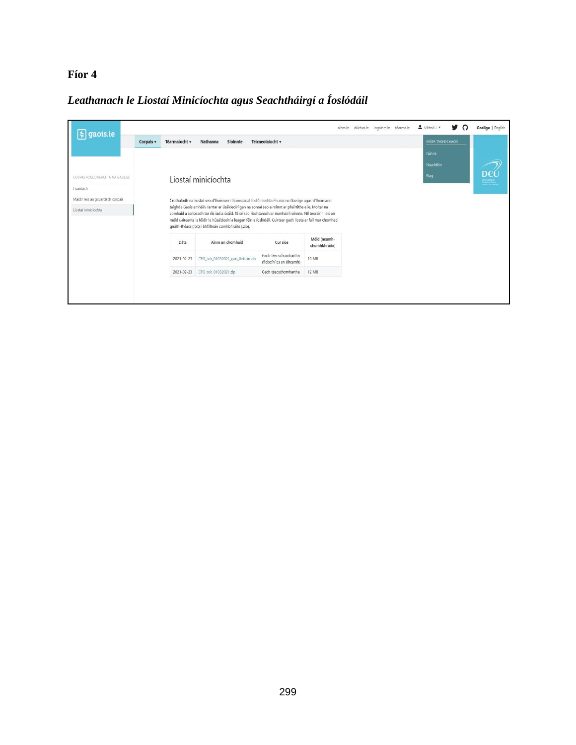# **Fíor 4**

# *Leathanach le Liostaí Minicíochta agus Seachtháirgí a Íoslódáil*

| gaois.ie                         |           |               |                                                                                                                                                                                                                                                                                                                                                                                          |                                                   |                               | ainm.ie dúchas.ie logainm.ie téarma.ie |  | Micheál J. v               | v | റ | Gaeilge   English      |
|----------------------------------|-----------|---------------|------------------------------------------------------------------------------------------------------------------------------------------------------------------------------------------------------------------------------------------------------------------------------------------------------------------------------------------------------------------------------------------|---------------------------------------------------|-------------------------------|----------------------------------------|--|----------------------------|---|---|------------------------|
|                                  | Corpais v | Téarmaíocht v | Nathanna<br>Sloinnte                                                                                                                                                                                                                                                                                                                                                                     | Teicneolaíocht v                                  |                               |                                        |  | <b>GRÚPA TAIGHDE GAOIS</b> |   |   |                        |
|                                  |           |               |                                                                                                                                                                                                                                                                                                                                                                                          |                                                   |                               |                                        |  | Fúinne                     |   |   |                        |
|                                  |           |               |                                                                                                                                                                                                                                                                                                                                                                                          |                                                   |                               |                                        |  | Nuachtlitir                |   |   |                        |
| CORPAS FOCLÓIREACHTA NA GAEILGE  |           |               | Liostaí minicíochta                                                                                                                                                                                                                                                                                                                                                                      |                                                   |                               |                                        |  | Blag                       |   |   | $\mathbf{D}\mathbf{C}$ |
| Cuardach                         |           |               |                                                                                                                                                                                                                                                                                                                                                                                          |                                                   |                               |                                        |  |                            |   |   |                        |
| Maidir leis an gcuardach corpais |           |               | Cruthaíodh na liostaí seo d'fhoireann thionscadal foclóireachta Fhoras na Gaeilge agus d'fhoireann                                                                                                                                                                                                                                                                                       |                                                   |                               |                                        |  |                            |   |   |                        |
| Liostaí minicíochta              |           |               | taighde Gaois amháin. Iarrtar ar úsáideoirí gan na sonraí seo a roinnt ar pháirtithe eile. Moltar na<br>comhaid a scriosadh tar éis iad a úsáid. Tá sé seo riachtanach ar ríomhairí roinnte. Níl teorainn leis an<br>méid uaireanta is féidir le húsáideoirí a leagan féin a íoslódáil. Cuirtear gach liosta ar fáil mar chomhad<br>qnáth-théacs (.txt) i bhfillteán comhbhrúite (.zip). |                                                   |                               |                                        |  |                            |   |   |                        |
|                                  |           | Dáta          | Ainm an chomhaid                                                                                                                                                                                                                                                                                                                                                                         | Cur síos                                          | Méid (neamh-<br>chomhbhrúite) |                                        |  |                            |   |   |                        |
|                                  |           | 2021-02-23    | CFG_tok_01032021_gan_fleiscín.zip                                                                                                                                                                                                                                                                                                                                                        | Gach téacschomhartha<br>(fleiscíní as an áireamh) | 10 MB                         |                                        |  |                            |   |   |                        |
|                                  |           | 2021-02-23    | CFG tok 01032021.zip                                                                                                                                                                                                                                                                                                                                                                     | Gach téacschomhartha                              | <b>12 MB</b>                  |                                        |  |                            |   |   |                        |
|                                  |           |               |                                                                                                                                                                                                                                                                                                                                                                                          |                                                   |                               |                                        |  |                            |   |   |                        |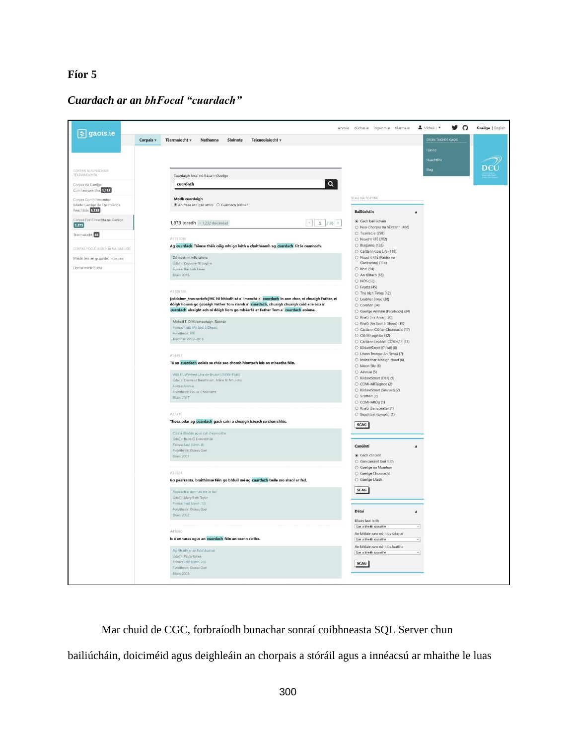# **Fíor 5**

*Cuardach ar an bhFocal "cuardach"*



Mar chuid de CGC, forbraíodh bunachar sonraí coibhneasta SQL Server chun bailiúcháin, doiciméid agus deighleáin an chorpais a stóráil agus a innéacsú ar mhaithe le luas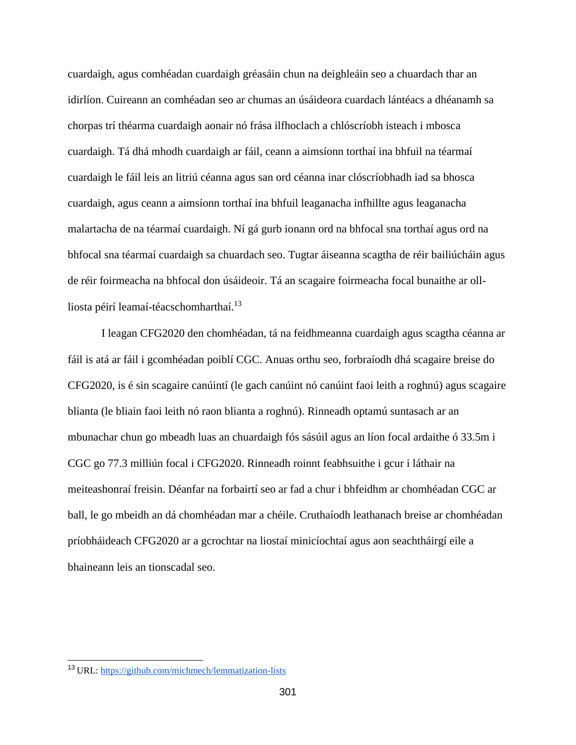cuardaigh, agus comhéadan cuardaigh gréasáin chun na deighleáin seo a chuardach thar an idirlíon. Cuireann an comhéadan seo ar chumas an úsáideora cuardach lántéacs a dhéanamh sa chorpas trí théarma cuardaigh aonair nó frása ilfhoclach a chlóscríobh isteach i mbosca cuardaigh. Tá dhá mhodh cuardaigh ar fáil, ceann a aimsíonn torthaí ina bhfuil na téarmaí cuardaigh le fáil leis an litriú céanna agus san ord céanna inar clóscríobhadh iad sa bhosca cuardaigh, agus ceann a aimsíonn torthaí ina bhfuil leaganacha infhillte agus leaganacha malartacha de na téarmaí cuardaigh. Ní gá gurb ionann ord na bhfocal sna torthaí agus ord na bhfocal sna téarmaí cuardaigh sa chuardach seo. Tugtar áiseanna scagtha de réir bailiúcháin agus de réir foirmeacha na bhfocal don úsáideoir. Tá an scagaire foirmeacha focal bunaithe ar ollliosta péirí leamaí-téacschomharthaí.<sup>13</sup>

I leagan CFG2020 den chomhéadan, tá na feidhmeanna cuardaigh agus scagtha céanna ar fáil is atá ar fáil i gcomhéadan poiblí CGC. Anuas orthu seo, forbraíodh dhá scagaire breise do CFG2020, is é sin scagaire canúintí (le gach canúint nó canúint faoi leith a roghnú) agus scagaire blianta (le bliain faoi leith nó raon blianta a roghnú). Rinneadh optamú suntasach ar an mbunachar chun go mbeadh luas an chuardaigh fós sásúil agus an líon focal ardaithe ó 33.5m i CGC go 77.3 milliún focal i CFG2020. Rinneadh roinnt feabhsuithe i gcur i láthair na meiteashonraí freisin. Déanfar na forbairtí seo ar fad a chur i bhfeidhm ar chomhéadan CGC ar ball, le go mbeidh an dá chomhéadan mar a chéile. Cruthaíodh leathanach breise ar chomhéadan príobháideach CFG2020 ar a gcrochtar na liostaí minicíochtaí agus aon seachtháirgí eile a bhaineann leis an tionscadal seo.

<sup>&</sup>lt;sup>13</sup> URL: https://github<u>.com/michmech/lemmatization-lists</u>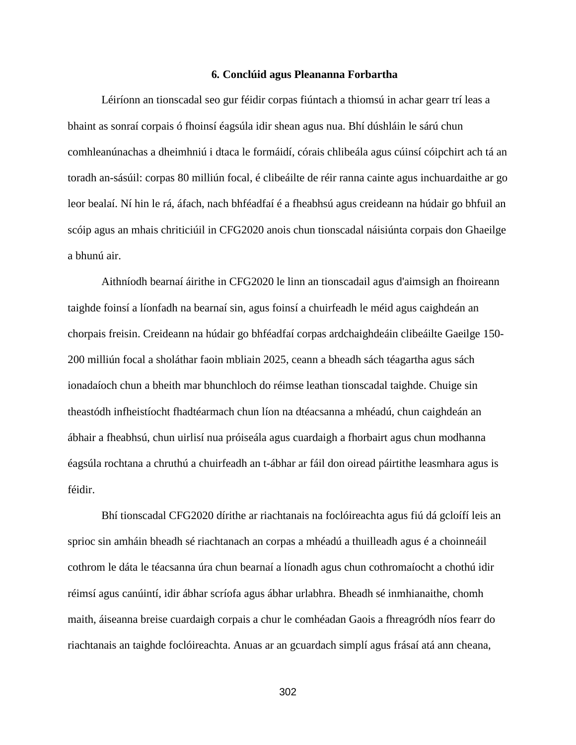#### **6. Conclúid agus Pleananna Forbartha**

Léiríonn an tionscadal seo gur féidir corpas fiúntach a thiomsú in achar gearr trí leas a bhaint as sonraí corpais ó fhoinsí éagsúla idir shean agus nua. Bhí dúshláin le sárú chun comhleanúnachas a dheimhniú i dtaca le formáidí, córais chlibeála agus cúinsí cóipchirt ach tá an toradh an-sásúil: corpas 80 milliún focal, é clibeáilte de réir ranna cainte agus inchuardaithe ar go leor bealaí. Ní hin le rá, áfach, nach bhféadfaí é a fheabhsú agus creideann na húdair go bhfuil an scóip agus an mhais chriticiúil in CFG2020 anois chun tionscadal náisiúnta corpais don Ghaeilge a bhunú air.

Aithníodh bearnaí áirithe in CFG2020 le linn an tionscadail agus d'aimsigh an fhoireann taighde foinsí a líonfadh na bearnaí sin, agus foinsí a chuirfeadh le méid agus caighdeán an chorpais freisin. Creideann na húdair go bhféadfaí corpas ardchaighdeáin clibeáilte Gaeilge 150- 200 milliún focal a sholáthar faoin mbliain 2025, ceann a bheadh sách téagartha agus sách ionadaíoch chun a bheith mar bhunchloch do réimse leathan tionscadal taighde. Chuige sin theastódh infheistíocht fhadtéarmach chun líon na dtéacsanna a mhéadú, chun caighdeán an ábhair a fheabhsú, chun uirlisí nua próiseála agus cuardaigh a fhorbairt agus chun modhanna éagsúla rochtana a chruthú a chuirfeadh an t-ábhar ar fáil don oiread páirtithe leasmhara agus is féidir.

Bhí tionscadal CFG2020 dírithe ar riachtanais na foclóireachta agus fiú dá gcloífí leis an sprioc sin amháin bheadh sé riachtanach an corpas a mhéadú a thuilleadh agus é a choinneáil cothrom le dáta le téacsanna úra chun bearnaí a líonadh agus chun cothromaíocht a chothú idir réimsí agus canúintí, idir ábhar scríofa agus ábhar urlabhra. Bheadh sé inmhianaithe, chomh maith, áiseanna breise cuardaigh corpais a chur le comhéadan Gaois a fhreagródh níos fearr do riachtanais an taighde foclóireachta. Anuas ar an gcuardach simplí agus frásaí atá ann cheana,

302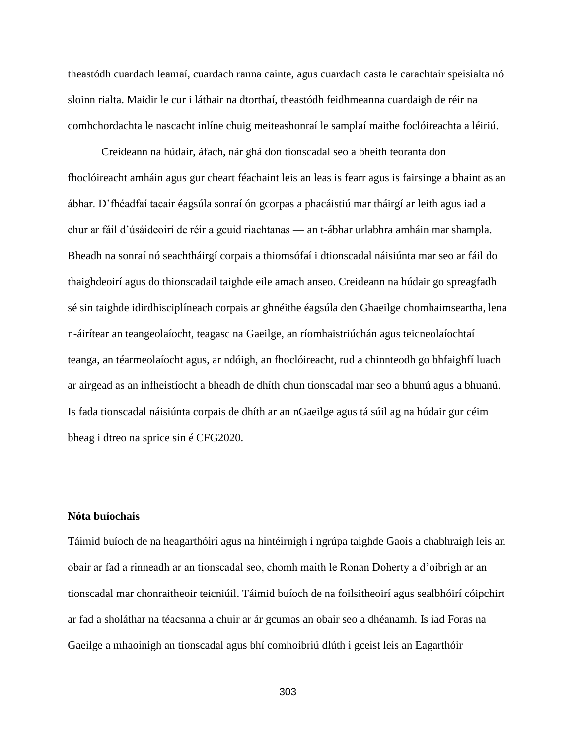theastódh cuardach leamaí, cuardach ranna cainte, agus cuardach casta le carachtair speisialta nó sloinn rialta. Maidir le cur i láthair na dtorthaí, theastódh feidhmeanna cuardaigh de réir na comhchordachta le nascacht inlíne chuig meiteashonraí le samplaí maithe foclóireachta a léiriú.

Creideann na húdair, áfach, nár ghá don tionscadal seo a bheith teoranta don fhoclóireacht amháin agus gur cheart féachaint leis an leas is fearr agus is fairsinge a bhaint as an ábhar. D'fhéadfaí tacair éagsúla sonraí ón gcorpas a phacáistiú mar tháirgí ar leith agus iad a chur ar fáil d'úsáideoirí de réir a gcuid riachtanas — an t-ábhar urlabhra amháin mar shampla. Bheadh na sonraí nó seachtháirgí corpais a thiomsófaí i dtionscadal náisiúnta mar seo ar fáil do thaighdeoirí agus do thionscadail taighde eile amach anseo. Creideann na húdair go spreagfadh sé sin taighde idirdhisciplíneach corpais ar ghnéithe éagsúla den Ghaeilge chomhaimseartha, lena n-áirítear an teangeolaíocht, teagasc na Gaeilge, an ríomhaistriúchán agus teicneolaíochtaí teanga, an téarmeolaíocht agus, ar ndóigh, an fhoclóireacht, rud a chinnteodh go bhfaighfí luach ar airgead as an infheistíocht a bheadh de dhíth chun tionscadal mar seo a bhunú agus a bhuanú. Is fada tionscadal náisiúnta corpais de dhíth ar an nGaeilge agus tá súil ag na húdair gur céim bheag i dtreo na sprice sin é CFG2020.

#### **Nóta buíochais**

Táimid buíoch de na heagarthóirí agus na hintéirnigh i ngrúpa taighde Gaois a chabhraigh leis an obair ar fad a rinneadh ar an tionscadal seo, chomh maith le Ronan Doherty a d'oibrigh ar an tionscadal mar chonraitheoir teicniúil. Táimid buíoch de na foilsitheoirí agus sealbhóirí cóipchirt ar fad a sholáthar na téacsanna a chuir ar ár gcumas an obair seo a dhéanamh. Is iad Foras na Gaeilge a mhaoinigh an tionscadal agus bhí comhoibriú dlúth i gceist leis an Eagarthóir

303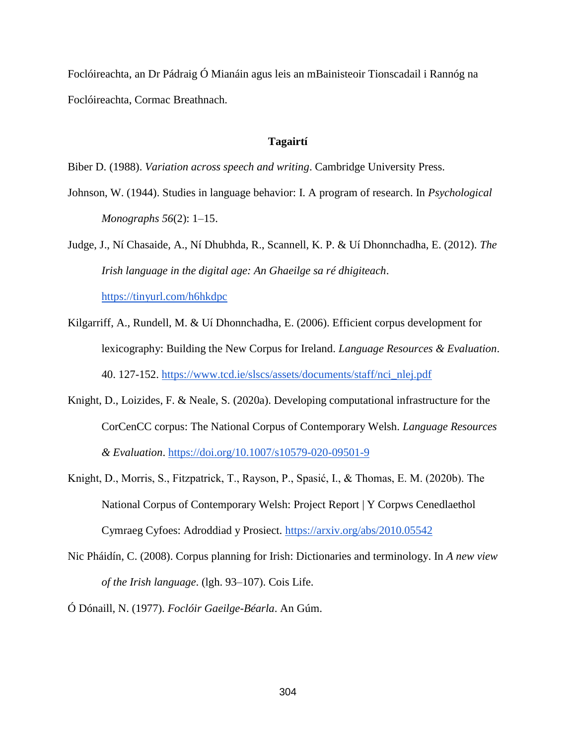Foclóireachta, an Dr Pádraig Ó Mianáin agus leis an mBainisteoir Tionscadail i Rannóg na Foclóireachta, Cormac Breathnach.

#### **Tagairtí**

- Biber D. (1988). *Variation across speech and writing*. Cambridge University Press.
- Johnson, W. (1944). Studies in language behavior: I. A program of research. In *Psychological Monographs 56*(2): 1–15.

Judge, J., Ní Chasaide, A., Ní Dhubhda, R., Scannell, K. P. & Uí Dhonnchadha, E. (2012). *The Irish language in the digital age: An Ghaeilge sa ré dhigiteach*. <https://tinyurl.com/h6hkdpc>

Kilgarriff, A., Rundell, M. & Uí Dhonnchadha, E. (2006). Efficient corpus development for lexicography: Building the New Corpus for Ireland. *Language Resources & Evaluation*. 40. 127-152. [https://www.tcd.ie/slscs/assets/documents/staff/nci\\_nlej.pdf](https://www.tcd.ie/slscs/assets/documents/staff/nci_nlej.pdf)

- Knight, D., Loizides, F. & Neale, S*.* (2020a). Developing computational infrastructure for the CorCenCC corpus: The National Corpus of Contemporary Welsh. *Language Resources & Evaluation*.<https://doi.org/10.1007/s10579-020-09501-9>
- Knight, D., Morris, S., Fitzpatrick, T., Rayson, P., Spasić, I., & Thomas, E. M. (2020b). The National Corpus of Contemporary Welsh: Project Report | Y Corpws Cenedlaethol Cymraeg Cyfoes: Adroddiad y Prosiect.<https://arxiv.org/abs/2010.05542>
- Nic Pháidín, C. (2008). Corpus planning for Irish: Dictionaries and terminology. In *A new view of the Irish language*. (lgh. 93–107). Cois Life.

Ó Dónaill, N. (1977). *Foclóir Gaeilge-Béarla*. An Gúm.